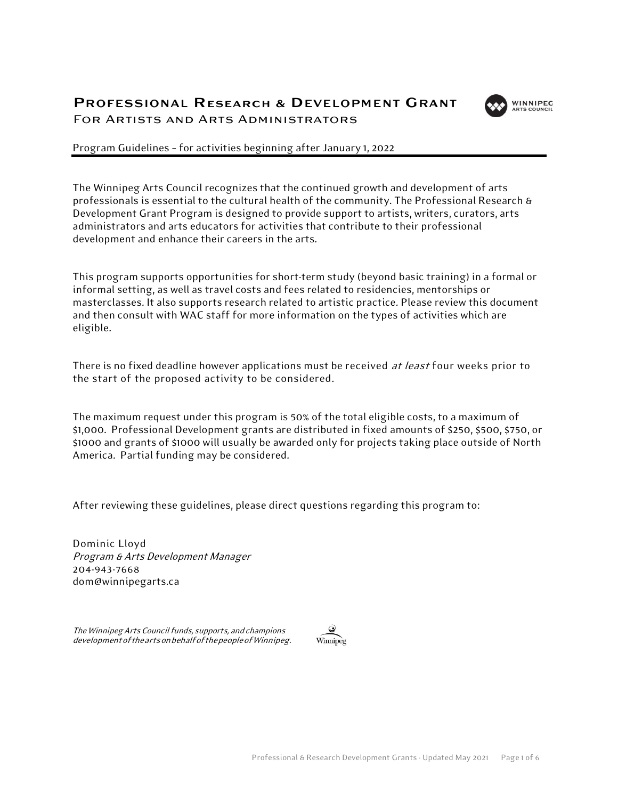# PROFESSIONAL Research & DEVELOPMENT GRANT For Artists and Arts Administrators



Program Guidelines – for activities beginning after January 1, 2022

The Winnipeg Arts Council recognizes that the continued growth and development of arts professionals is essential to the cultural health of the community. The Professional Research & Development Grant Program is designed to provide support to artists, writers, curators, arts administrators and arts educators for activities that contribute to their professional development and enhance their careers in the arts.

This program supports opportunities for short-term study (beyond basic training) in a formal or informal setting, as well as travel costs and fees related to residencies, mentorships or masterclasses. It also supports research related to artistic practice. Please review this document and then consult with WAC staff for more information on the types of activities which are eligible.

There is no fixed deadline however applications must be received at least four weeks prior to the start of the proposed activity to be considered.

The maximum request under this program is 50% of the total eligible costs, to a maximum of \$1,000. Professional Development grants are distributed in fixed amounts of \$250, \$500, \$750, or \$1000 and grants of \$1000 will usually be awarded only for projects taking place outside of North America. Partial funding may be considered.

After reviewing these guidelines, please direct questions regarding this program to:

Dominic Lloyd Program & Arts Development Manager 204-943-7668 [dom@winnipegarts.ca](mailto:dom@winnipegarts.ca)

The Winnipeg Arts Council funds, supports, and champions developmentoftheartsonbehalfofthepeopleofWinnipeg.

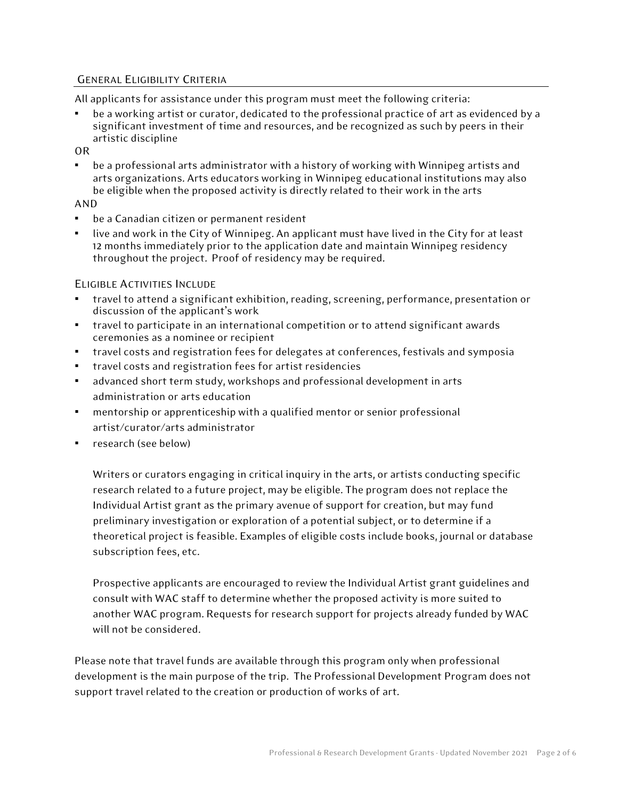## GENERAL ELIGIBILITY CRITERIA

All applicants for assistance under this program must meet the following criteria:

be a working artist or curator, dedicated to the professional practice of art as evidenced by a significant investment of time and resources, and be recognized as such by peers in their artistic discipline

OR

be a professional arts administrator with a history of working with Winnipeg artists and arts organizations. Arts educators working in Winnipeg educational institutions may also be eligible when the proposed activity is directly related to their work in the arts

## AND

- be a Canadian citizen or permanent resident
- live and work in the City of Winnipeg. An applicant must have lived in the City for at least 12 months immediately priorto the application date and maintain Winnipeg residency throughout the project. Proof of residency may be required.

## ELIGIBLE ACTIVITIES INCLUDE

- travel to attend a significant exhibition, reading, screening, performance, presentation or discussion of the applicant's work
- travel to participate in an international competition or to attend significant awards ceremonies as a nominee or recipient
- travel costs and registration fees for delegates at conferences, festivals and symposia
- travel costs and registration fees for artist residencies
- advanced short term study, workshops and professional development in arts administration or arts education
- mentorship or apprenticeship with a qualified mentor or senior professional artist/curator/arts administrator
- research (see below)

Writers or curators engaging in critical inquiry in the arts, or artists conducting specific research related to a future project, may be eligible. The program does not replace the Individual Artist grant as the primary avenue of support for creation, but may fund preliminary investigation or exploration of a potential subject, or to determine if a theoretical project is feasible. Examples of eligible costs include books, journal or database subscription fees, etc.

Prospective applicants are encouraged to review the Individual Artist grant guidelines and consult with WAC staff to determine whether the proposed activity is more suited to another WAC program. Requests for research support for projects already funded by WAC will not be considered.

Please note that travel funds are available through this program only when professional development is the main purpose of the trip. The Professional Development Program does not support travel related to the creation or production of works of art.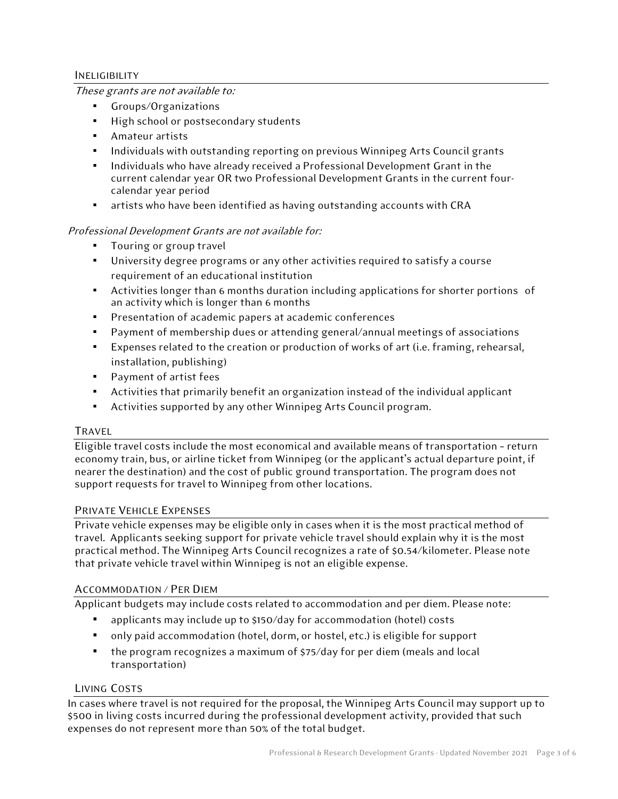## INELIGIBILITY

## These grants are not available to:

- Groups/Organizations
- High school or postsecondary students
- Amateur artists
- Individuals with outstanding reporting on previous Winnipeg Arts Council grants
- Individuals who have already received a Professional Development Grant in the current calendar year OR two Professional Development Grants in the current fourcalendar year period
- artists who have been identified as having outstanding accounts with CRA

# Professional Development Grants are not available for:

- **•** Touring or group travel
- University degree programs or any other activities required to satisfy a course requirement of an educational institution
- Activities longer than 6 months duration including applications for shorter portions of an activity which is longer than 6 months
- Presentation of academic papers at academic conferences
- Payment of membership dues or attending general/annual meetings of associations
- Expenses related to the creation or production of works of art (i.e. framing, rehearsal, installation, publishing)
- Payment of artist fees
- **E** Activities that primarily benefit an organization instead of the individual applicant
- Activities supported by any other Winnipeg Arts Council program.

## TRAVEL

Eligible travel costs include the most economical and available means of transportation –return economy train, bus, or airline ticket from Winnipeg (or the applicant's actual departure point, if nearer the destination) and the cost of public ground transportation. The program does not support requests for travel to Winnipeg from other locations.

## PRIVATE VEHICLE EXPENSES

Private vehicle expenses may be eligible only in cases when it is the most practical method of travel. Applicants seeking support for private vehicle travel should explain why it is the most practical method. The Winnipeg Arts Council recognizes a rate of \$0.54/kilometer. Please note that private vehicle travel within Winnipeg is not an eligible expense.

## ACCOMMODATION / PER DIEM

Applicant budgets may include costs related to accommodation and per diem. Please note:

- applicants may include up to \$150/day for accommodation (hotel) costs
- only paid accommodation (hotel, dorm, or hostel, etc.) is eligible for support
- the program recognizes a maximum of \$75/day for per diem (meals and local transportation)

## LIVING COSTS

In cases where travel is not required for the proposal, the Winnipeg Arts Council may support up to \$500 in living costs incurred during the professional development activity, provided that such expenses do not represent more than 50% of the total budget.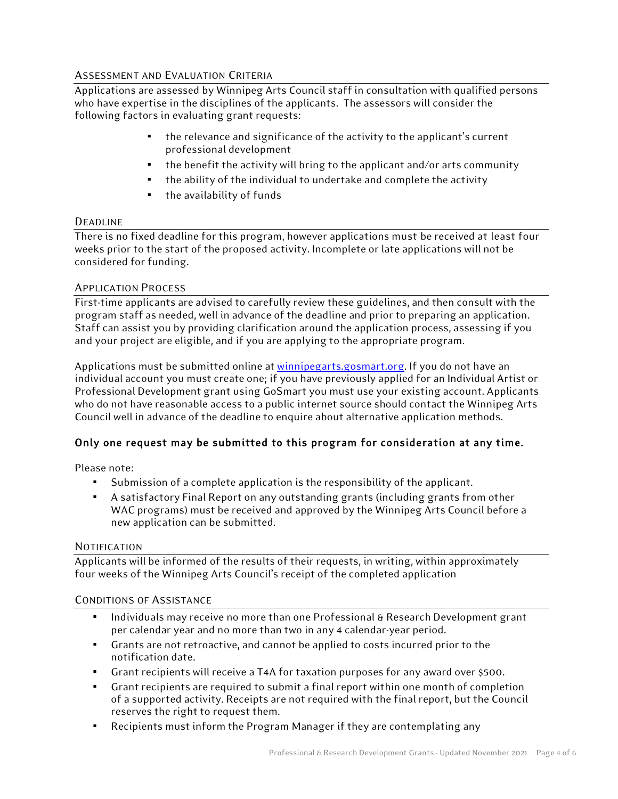# ASSESSMENT AND EVALUATION CRITERIA

Applications are assessed by Winnipeg Arts Council staff in consultation with qualified persons who have expertise in the disciplines of the applicants. The assessors will consider the following factors in evaluating grant requests:

- the relevance and significance of the activity to the applicant's current professional development
- the benefit the activity will bring to the applicant and/or arts community
- the ability of the individual to undertake and complete the activity
- the availability of funds

## DEADLINE

There is no fixed deadline for this program, however applications must be received at least four weeks prior to the start of the proposed activity. Incomplete or late applications will not be considered for funding.

## APPLICATION PROCESS

First-time applicants are advised to carefully review these guidelines, and then consult with the program staff as needed, well in advance of the deadline and prior to preparing an application. Staff can assist you by providing clarification around the application process, assessing if you and your project are eligible, and if you are applying to the appropriate program.

Applications must be submitted online at [winnipegarts.gosmart.org.](https://winnipegarts.gosmart.org/) If you do not have an individual account you must create one; if you have previously applied for an Individual Artist or Professional Development grant using GoSmart you must use your existing account. Applicants who do not have reasonable access to a public internet source should contact the Winnipeg Arts Council well in advance of the deadline to enquire about alternative application methods.

# Only one request may be submitted to this program for consideration at any time.

Please note:

- Submission of a complete application is the responsibility of the applicant.
- A satisfactory Final Report on any outstanding grants (including grants from other WAC programs) must be received and approved by the Winnipeg Arts Council before a new application can be submitted.

## NOTIFICATION

Applicants will be informed of the results of their requests, in writing, within approximately four weeks of the Winnipeg Arts Council's receipt of the completed application

# CONDITIONS OF ASSISTANCE

- Individuals may receive no more than one Professional & Research Development grant per calendar year and no more than two in any 4 calendar-year period.
- Grants are not retroactive, and cannot be applied to costs incurred prior to the notification date.
- Grant recipients will receive a T4A for taxation purposes for any award over \$500.
- Grant recipients are required to submit a final report within one month of completion of a supported activity. Receipts are not required with the final report, but the Council reserves the right to request them.
- Recipients must inform the Program Manager if they are contemplating any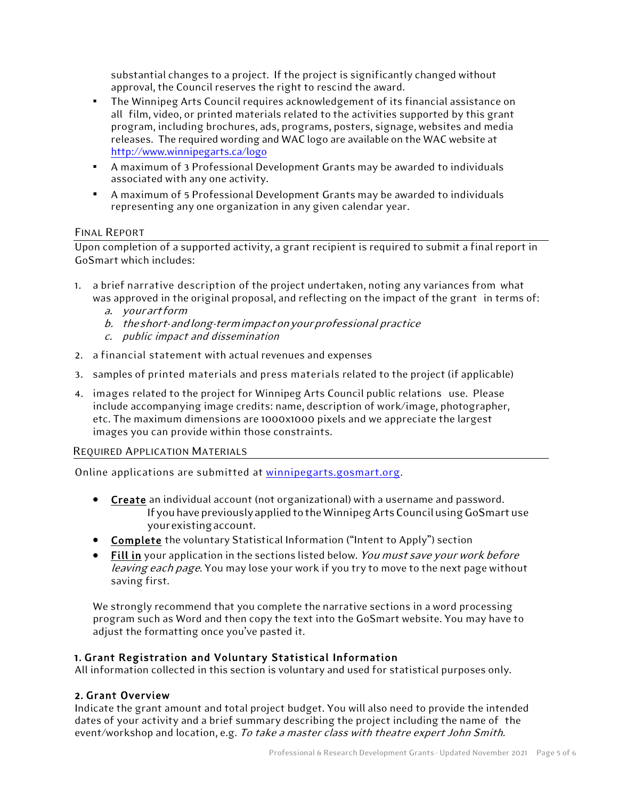substantial changes to a project. If the project is significantly changed without approval, the Council reserves the right to rescind the award.

- The Winnipeg Arts Council requires acknowledgement of its financial assistance on all film, video, or printed materials related to the activities supported by this grant program, including brochures, ads, programs, posters, signage, websites and media releases. The required wording and WAC logo are available on the WAC website at <http://www.winnipegarts.ca/logo>
- A maximum of 3 Professional Development Grants may be awarded to individuals associated with any one activity.
- A maximum of 5 Professional Development Grants may be awarded to individuals representing any one organization in any given calendar year.

# FINAL REPORT

Upon completion of a supported activity, a grant recipient is required to submit a final report in GoSmart which includes:

- 1. a brief narrative description of the project undertaken, noting any variances from what was approved in the original proposal, and reflecting on the impact of the grant in terms of:
	- a. yourartform
	- b. theshort-andlong-termimpactonyourprofessional practice
	- c. public impact and dissemination
- 2. a financial statement with actual revenues and expenses
- 3. samples of printed materials and press materials related to the project (if applicable)
- 4. images related to the project for Winnipeg Arts Council public relations use. Please include accompanying image credits: name, description of work/image, photographer, etc. The maximum dimensions are 1000x1000 pixels and we appreciate the largest images you can provide within those constraints.

## REQUIRED APPLICATION MATERIALS

Online applications are submitted at [winnipegarts.gosmart.org.](http://winnipegarts.gosmart.org/)

- Create an individual account (not organizational) with a username and password. If you have previously applied to the Winnipeg Arts Council using GoSmart use yourexistingaccount.
- Complete the voluntary Statistical Information ("Intent to Apply") section
- Fill in your application in the sections listed below. You must save your work before leaving each page. You may lose your work if you try to move to the next page without saving first.

We strongly recommend that you complete the narrative sections in a word processing program such as Word and then copy the text into the GoSmart website. You may have to adjust the formatting once you've pasted it.

# 1. Grant Registration and Voluntary Statistical Information

All information collected in this section is voluntary and used for statistical purposes only.

# 2. Grant Overview

Indicate the grant amount and total project budget. You will also need to provide the intended dates of your activity and a brief summary describing the project including the name of the event/workshop and location, e.g. To take a master class with theatre expert John Smith.